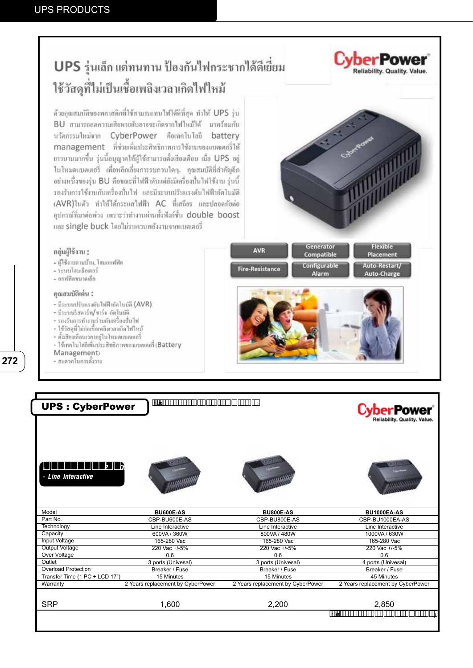# UPS รุ่นเล็ก แต่ทนทาน ป้องกันไฟกระชากได้ดีเยี่ยม ใช้วัสดุที่ไม่เป็นเชื้อเพลิงเวลาเกิดไฟใหม้

ด้วยคุณสมบัติของพลาสติกที่ใช้สามารถทบไฟได้ดีที่สุด ทำให้ UPS รุ่น BU สามารถลดความเสียหายอันอาจจะเกิดจากไฟใหม้ได้ มาพร้อมกับ บวัดกรรมใหม่จาก CyberPower คือเทคโนโลยี battery management ที่ช่วยเพิ่มประสิทธิภาพการใช้งานของแบคเคอร์ให้ ขาวนานมากขึ้น รุ่นนี้อนุญาคให้ผู้ใช้สามารถตั้งเสียงเดือน เมื่อ UPS อยู่ ในโหมดแบคเตอรี่ เพื่อหลีกเลี่ยงการรบกวนใดๆ. อุณสมบัติที่สำคัญอีก อย่างหนึ่งของรุ่น BU คือขณะที่ไฟฟ้าคับแต่ยังมีเครื่องปั่นไฟใช้งาน รุ่นนี้ รองรับการใช้งานกับเครื่องนั้นใฟ และมีระบบปรับแรงดันไฟฟ้าอัลไนมัติ (AVR)ในตัว ทำให้ได้กระแสไฟฟ้า AC ที่เสดียร และปลอดภัยต่อ อุปกรณ์ที่มาต่อท่าง เพราะว่าทำงานผ่านทั้งฟังก์ชั้น double boost และ single buck โดยไม่รบกวบหลังงานจากแบตเตอรี่

### กลุ่มผู้ใช้งาน :

- ผู้ใช้งานคามบ้าน, โฮมออฟฟิต
- ระบบโสมเรียเลอร์
- ออฟฟิลขนาดเล็ก

### คุณสมบัติเด่น :

- มีระบบปรับแรงดับไฟฟ้าอัลโนมัลิ (AVR)
- มีระบบริษตาร์ท/ชาร์จ อัตโนมัติ
- รองรับการทำงานร่วมกับเครื่องปืนไฟ
- ไข้วัสดุที่ไม่ก่อเขื่อเพลิงเวลาเอิลไฟไหม้
- ตั้งเสียงเทือนเวลาอยู่ใน โหมดแบลเตอรี่
- ใช้เทคโนไดยีเห็นประสิทธิภาพของแบคเคอรี่ (Battery
- Management
- สะดวกใบการตั้งวาง



Flexible

Placement

wer

Reliability, Quality, Value.

| Alarm | Auto-Restart/<br>Auto-Charge |
|-------|------------------------------|
|       |                              |
|       |                              |
|       |                              |
|       |                              |
|       |                              |

Generator

Compatible

AVR

| <b>UPS: CyberPower</b>         | $H$ $R$ $\overline{R}$ $\overline{R}$ $\overline{R}$ $\overline{R}$ $\overline{R}$ $\overline{R}$ $\overline{R}$ $\overline{R}$ $\overline{R}$ $\overline{R}$ $\overline{R}$ $\overline{R}$ $\overline{R}$ $\overline{R}$ $\overline{R}$ $\overline{R}$ $\overline{R}$ $\overline{R}$ $\overline{R}$ $\overline{R}$ $\overline{R}$ $\overline{R}$ $\overline{R}$ $\overline{R$ |                                   | 'Power<br>Reliability. Quality. Value. |
|--------------------------------|--------------------------------------------------------------------------------------------------------------------------------------------------------------------------------------------------------------------------------------------------------------------------------------------------------------------------------------------------------------------------------|-----------------------------------|----------------------------------------|
| - Line Interactive             |                                                                                                                                                                                                                                                                                                                                                                                |                                   |                                        |
|                                |                                                                                                                                                                                                                                                                                                                                                                                |                                   |                                        |
| Model                          | <b>BU600E-AS</b>                                                                                                                                                                                                                                                                                                                                                               | <b>BU800E-AS</b>                  | <b>BU1000EA-AS</b>                     |
| Part No.                       | CBP-BU600E-AS                                                                                                                                                                                                                                                                                                                                                                  | CBP-BU800E-AS                     | CBP-BU1000EA-AS                        |
| Technology                     | Line Interactive                                                                                                                                                                                                                                                                                                                                                               | Line Interactive                  | Line Interactive                       |
| Capacity                       | 600VA / 360W                                                                                                                                                                                                                                                                                                                                                                   | 800VA / 480W                      | 1000VA / 630W                          |
| Input Voltage                  | 165-280 Vac                                                                                                                                                                                                                                                                                                                                                                    | 165-280 Vac                       | 165-280 Vac                            |
| <b>Output Voltage</b>          | 220 Vac +/-5%                                                                                                                                                                                                                                                                                                                                                                  | 220 Vac +/-5%                     | 220 Vac +/-5%                          |
| Over Voltage                   | 0.6                                                                                                                                                                                                                                                                                                                                                                            | 0.6                               | 0.6                                    |
| Outlet                         | 3 ports (Univesal)                                                                                                                                                                                                                                                                                                                                                             | 3 ports (Univesal)                | 4 ports (Univesal)                     |
| <b>Overload Protection</b>     | Breaker / Fuse                                                                                                                                                                                                                                                                                                                                                                 | Breaker / Fuse                    | Breaker / Fuse                         |
| Transfer Time (1 PC + LCD 17") | 15 Minutes                                                                                                                                                                                                                                                                                                                                                                     | 15 Minutes                        | 45 Minutes                             |
| Warranty                       | 2 Years replacement by CyberPower                                                                                                                                                                                                                                                                                                                                              | 2 Years replacement by CyberPower | 2 Years replacement by CyberPower      |
| <b>SRP</b>                     | 1,600                                                                                                                                                                                                                                                                                                                                                                          | 2,200                             | 2,850                                  |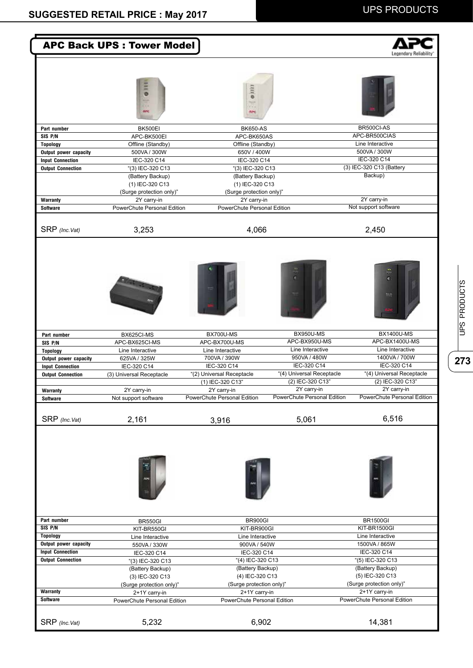|                                          | <b>APC Back UPS: Tower Model</b>             |                                               |                                               | Legendary Reliability                         |
|------------------------------------------|----------------------------------------------|-----------------------------------------------|-----------------------------------------------|-----------------------------------------------|
|                                          | 5<br>APC                                     | $\frac{1}{2}$                                 |                                               |                                               |
| Part number                              | BK500EI                                      | <b>BK650-AS</b>                               |                                               | BR500Cl-AS                                    |
| SIS P/N                                  | APC-BK500EI                                  | APC-BK650AS                                   |                                               | APC-BR500CIAS                                 |
| <b>Topology</b>                          | Offline (Standby)                            | Offline (Standby)                             |                                               | Line Interactive                              |
| Output power capacity                    | 500VA / 300W                                 | 650V / 400W                                   |                                               | 500VA / 300W                                  |
| <b>Input Connection</b>                  | IEC-320 C14                                  | IEC-320 C14                                   |                                               | IEC-320 C14                                   |
| <b>Output Connection</b>                 | "(3) IEC-320 C13<br>(Battery Backup)         | "(3) IEC-320 C13<br>(Battery Backup)          |                                               | (3) IEC-320 C13 (Battery<br>Backup)           |
|                                          | (1) IEC-320 C13                              | (1) IEC-320 C13                               |                                               |                                               |
|                                          | (Surge protection only)"                     | (Surge protection only)"                      |                                               |                                               |
| Warranty                                 | 2Y carry-in                                  | 2Y carry-in                                   |                                               | 2Y carry-in                                   |
| <b>Software</b>                          | PowerChute Personal Edition                  | PowerChute Personal Edition                   |                                               | Not support software                          |
| SRP (Inc.Vat)                            | 3,253                                        | 4,066                                         |                                               | 2,450                                         |
| Part number                              | BX625CI-MS                                   | BX700U-MS                                     | <b>BX950U-MS</b>                              | ۵<br>m<br><b>BX1400U-MS</b>                   |
| SIS P/N                                  | APC-BX625CI-MS                               | APC-BX700U-MS                                 | APC-BX950U-MS                                 | APC-BX1400U-MS                                |
| <b>Topology</b>                          | Line Interactive                             | Line Interactive                              | Line Interactive                              | Line Interactive                              |
| Output power capacity                    | 625VA / 325W                                 | 700VA / 390W                                  | 950VA / 480W                                  | 1400VA / 700W                                 |
| <b>Input Connection</b>                  | IEC-320 C14                                  | IEC-320 C14                                   | IEC-320 C14                                   | IEC-320 C14                                   |
| <b>Output Connection</b>                 | (3) Universal Receptacle                     | "(2) Universal Receptacle<br>(1) IEC-320 C13" | "(4) Universal Receptacle<br>(2) IEC-320 C13" | "(4) Universal Receptacle<br>(2) IEC-320 C13" |
| <b>Warranty</b>                          | 2Y carry-in                                  | 2Y carry-in                                   | 2Y carry-in                                   | 2Y carry-in                                   |
| <b>Software</b>                          | Not support software                         | PowerChute Personal Edition                   | PowerChute Personal Edition                   | PowerChute Personal Edition                   |
|                                          |                                              |                                               |                                               |                                               |
| SRP (Inc.Vat)                            | 2,161                                        | 3,916                                         | 5,061                                         | 6,516                                         |
|                                          |                                              |                                               |                                               |                                               |
| Part number                              | BR550GI                                      | BR900GI                                       |                                               | <b>BR1500GI</b>                               |
| SIS P/N                                  | KIT-BR550GI                                  | KIT-BR900GI                                   |                                               | KIT-BR1500GI                                  |
| <b>Topology</b><br>Output power capacity | Line Interactive<br>550VA / 330W             | Line Interactive<br>900VA / 540W              |                                               | Line Interactive<br>1500VA / 865W             |
| <b>Input Connection</b>                  | IEC-320 C14                                  | IEC-320 C14                                   |                                               | IEC-320 C14                                   |
| <b>Output Connection</b>                 | "(3) IEC-320 C13                             | "(4) IEC-320 C13                              |                                               | "(5) IEC-320 C13                              |
|                                          | (Battery Backup)                             | (Battery Backup)                              |                                               | (Battery Backup)                              |
|                                          | (3) IEC-320 C13                              | (4) IEC-320 C13                               |                                               | (5) IEC-320 C13                               |
| Warranty                                 | (Surge protection only)"                     | (Surge protection only)"                      |                                               | (Surge protection only)"                      |
| <b>Software</b>                          | 2+1Y carry-in<br>PowerChute Personal Edition | 2+1Y carry-in<br>PowerChute Personal Edition  |                                               | 2+1Y carry-in<br>PowerChute Personal Edition  |
|                                          |                                              |                                               |                                               |                                               |
|                                          |                                              |                                               |                                               |                                               |
| $SRP$ (Inc. Vat)                         | 5,232                                        | 6,902                                         |                                               | 14,381                                        |

UPS PRODUCTS **273 273**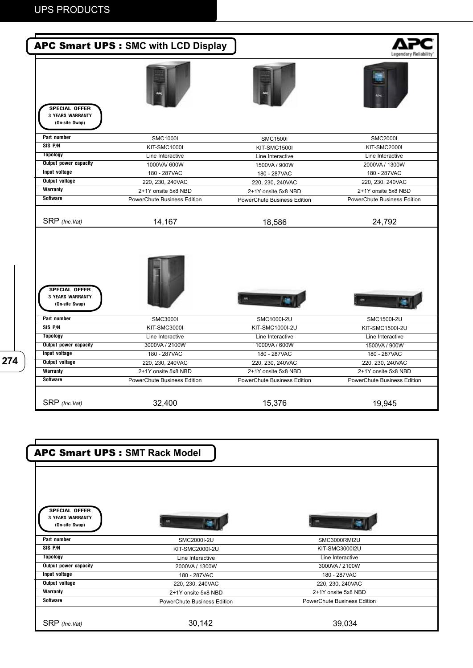

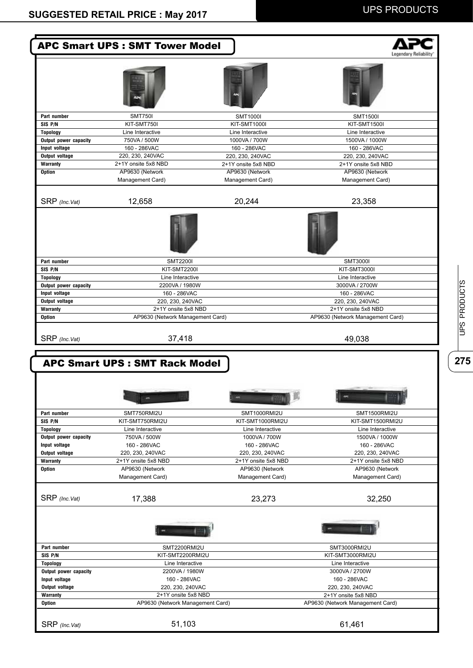|                                                                                                                                                                                                                                                                                            | <b>APC Smart UPS : SMT Tower Model</b>                  |                                  | .ecendary Reliab                                        |  |
|--------------------------------------------------------------------------------------------------------------------------------------------------------------------------------------------------------------------------------------------------------------------------------------------|---------------------------------------------------------|----------------------------------|---------------------------------------------------------|--|
|                                                                                                                                                                                                                                                                                            |                                                         |                                  |                                                         |  |
| Part number                                                                                                                                                                                                                                                                                | <b>SMT750I</b>                                          | <b>SMT1000I</b>                  | <b>SMT1500I</b>                                         |  |
| SIS P/N                                                                                                                                                                                                                                                                                    | KIT-SMT750I                                             | <b>KIT-SMT1000I</b>              | <b>KIT-SMT1500I</b>                                     |  |
| <b>Topology</b>                                                                                                                                                                                                                                                                            | Line Interactive                                        | Line Interactive                 | Line Interactive                                        |  |
| Output power capacity                                                                                                                                                                                                                                                                      | 750VA / 500W                                            | 1000VA / 700W                    | 1500VA / 1000W                                          |  |
| Input voltage                                                                                                                                                                                                                                                                              | 160 - 286VAC                                            | 160 - 286VAC                     | 160 - 286VAC                                            |  |
| Output voltage                                                                                                                                                                                                                                                                             | 220, 230, 240VAC                                        | 220, 230, 240VAC                 | 220, 230, 240VAC                                        |  |
| Warranty                                                                                                                                                                                                                                                                                   | 2+1Y onsite 5x8 NBD                                     | 2+1Y onsite 5x8 NBD              | 2+1Y onsite 5x8 NBD                                     |  |
| Option                                                                                                                                                                                                                                                                                     | AP9630 (Network                                         | AP9630 (Network                  | AP9630 (Network                                         |  |
|                                                                                                                                                                                                                                                                                            | Management Card)                                        | Management Card)                 | Management Card)                                        |  |
| SRP (Inc. Vat)                                                                                                                                                                                                                                                                             | 12,658                                                  | 20,244                           | 23,358                                                  |  |
|                                                                                                                                                                                                                                                                                            |                                                         |                                  |                                                         |  |
| Part number<br>SIS P/N                                                                                                                                                                                                                                                                     | <b>SMT2200I</b>                                         |                                  | <b>SMT3000I</b>                                         |  |
| <b>Topology</b>                                                                                                                                                                                                                                                                            | <b>KIT-SMT2200I</b><br>Line Interactive                 |                                  | KIT-SMT3000I<br>Line Interactive                        |  |
| Output power capacity                                                                                                                                                                                                                                                                      | 2200VA / 1980W                                          |                                  | 3000VA / 2700W                                          |  |
| Input voltage                                                                                                                                                                                                                                                                              | 160 - 286VAC                                            |                                  | 160 - 286VAC                                            |  |
| <b>Output voltage</b>                                                                                                                                                                                                                                                                      | 220, 230, 240VAC                                        |                                  | 220, 230, 240VAC                                        |  |
|                                                                                                                                                                                                                                                                                            |                                                         |                                  | 2+1Y onsite 5x8 NBD                                     |  |
|                                                                                                                                                                                                                                                                                            | 2+1Y onsite 5x8 NBD                                     |                                  |                                                         |  |
|                                                                                                                                                                                                                                                                                            | AP9630 (Network Management Card)<br>37,418              |                                  | AP9630 (Network Management Card)<br>49,038              |  |
| Warranty<br><b>Option</b><br>SRP (Inc. Vat)                                                                                                                                                                                                                                                | <b>APC Smart UPS: SMT Rack Model</b>                    |                                  |                                                         |  |
|                                                                                                                                                                                                                                                                                            | m                                                       |                                  |                                                         |  |
|                                                                                                                                                                                                                                                                                            | SMT750RMI2U                                             | SMT1000RMI2U                     | SMT1500RMI2U                                            |  |
|                                                                                                                                                                                                                                                                                            | KIT-SMT750RMI2U                                         | KIT-SMT1000RMI2U                 | KIT-SMT1500RMI2U                                        |  |
|                                                                                                                                                                                                                                                                                            | Line Interactive                                        | Line Interactive                 | Line Interactive                                        |  |
|                                                                                                                                                                                                                                                                                            | 750VA / 500W                                            | 1000VA / 700W                    | 1500VA / 1000W                                          |  |
|                                                                                                                                                                                                                                                                                            | 160 - 286VAC<br>220, 230, 240VAC                        | 160 - 286VAC<br>220, 230, 240VAC | 160 - 286VAC<br>220, 230, 240VAC                        |  |
|                                                                                                                                                                                                                                                                                            | 2+1Y onsite 5x8 NBD                                     | 2+1Y onsite 5x8 NBD              | 2+1Y onsite 5x8 NBD                                     |  |
|                                                                                                                                                                                                                                                                                            | AP9630 (Network                                         | AP9630 (Network                  | AP9630 (Network                                         |  |
|                                                                                                                                                                                                                                                                                            | Management Card)                                        | Management Card)                 | Management Card)                                        |  |
|                                                                                                                                                                                                                                                                                            | 17,388                                                  | 23,273                           | 32,250                                                  |  |
|                                                                                                                                                                                                                                                                                            |                                                         |                                  |                                                         |  |
|                                                                                                                                                                                                                                                                                            | SMT2200RMI2U                                            |                                  | SMT3000RMI2U                                            |  |
|                                                                                                                                                                                                                                                                                            | KIT-SMT2200RMI2U                                        |                                  | KIT-SMT3000RMI2U                                        |  |
|                                                                                                                                                                                                                                                                                            | Line Interactive                                        |                                  | Line Interactive                                        |  |
|                                                                                                                                                                                                                                                                                            | 2200VA / 1980W                                          |                                  | 3000VA / 2700W                                          |  |
|                                                                                                                                                                                                                                                                                            | 160 - 286VAC                                            |                                  | 160 - 286VAC                                            |  |
|                                                                                                                                                                                                                                                                                            | 220, 230, 240VAC                                        |                                  | 220, 230, 240VAC                                        |  |
|                                                                                                                                                                                                                                                                                            | 2+1Y onsite 5x8 NBD<br>AP9630 (Network Management Card) |                                  | 2+1Y onsite 5x8 NBD<br>AP9630 (Network Management Card) |  |
| Part number<br>SIS P/N<br><b>Topology</b><br>Output power capacity<br>Input voltage<br>Output voltage<br>Warranty<br><b>Option</b><br>SRP (Inc. Vat)<br>Part number<br>SIS P/N<br><b>Topology</b><br>Output power capacity<br>Input voltage<br>Output voltage<br>Warranty<br><b>Option</b> | 51,103                                                  |                                  |                                                         |  |

UPS PRODUCTS **275**<br>**275**<br> **275**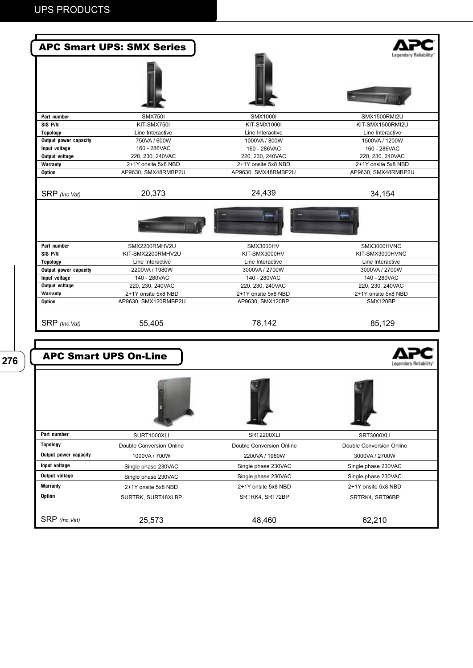|                                        | <b>APC Smart UPS: SMX Series</b>            |                                  |                                  |
|----------------------------------------|---------------------------------------------|----------------------------------|----------------------------------|
|                                        |                                             |                                  |                                  |
| Part number                            | <b>SMX750I</b>                              | <b>SMX1000I</b>                  | SMX1500RMI2U                     |
| SIS P/N                                | KIT-SMX750I                                 | <b>KIT-SMX1000I</b>              | KIT-SMX1500RMI2U                 |
| <b>Topology</b>                        | Line Interactive                            | Line Interactive                 | Line Interactive                 |
| Output power capacity                  | 750VA / 600W                                | 1000VA / 800W                    | 1500VA / 1200W                   |
| Input voltage<br><b>Output voltage</b> | 160 - 286VAC<br>220, 230, 240VAC            | 160 - 286VAC<br>220, 230, 240VAC | 160 - 286VAC<br>220, 230, 240VAC |
| Warranty                               | 2+1Y onsite 5x8 NBD                         | 2+1Y onsite 5x8 NBD              | 2+1Y onsite 5x8 NBD              |
| <b>Option</b>                          | AP9630, SMX48RMBP2U                         | AP9630, SMX48RMBP2U              | AP9630, SMX48RMBP2U              |
| SRP (Inc.Vat)                          | 20,373                                      | 24,439                           | 34,154                           |
|                                        |                                             |                                  |                                  |
| Part number                            | SMX2200RMHV2U                               | <b>SMX3000HV</b>                 | SMX3000HVNC                      |
| SIS P/N                                | KIT-SMX2200RMHV2U                           | KIT-SMX3000HV                    | KIT-SMX3000HVNC                  |
| <b>Topology</b>                        | Line Interactive                            | Line Interactive                 | Line Interactive                 |
| Output power capacity                  | 2200VA / 1980W                              | 3000VA / 2700W                   | 3000VA / 2700W                   |
| Input voltage                          | 140 - 280VAC                                | 140 - 280VAC                     | 140 - 280VAC                     |
| Output voltage                         | 220, 230, 240VAC                            | 220, 230, 240VAC                 | 220, 230, 240VAC                 |
| Warranty                               | 2+1Y onsite 5x8 NBD<br>AP9630, SMX120RMBP2U | 2+1Y onsite 5x8 NBD              | 2+1Y onsite 5x8 NBD<br>SMX120BP  |
| <b>Option</b>                          |                                             | AP9630, SMX120BP                 |                                  |
| SRP (Inc.Vat)                          | 55,405                                      | 78,142                           | 85,129                           |
|                                        | <b>APC Smart UPS On-Line</b>                |                                  | Legendary Reliability            |
|                                        |                                             |                                  |                                  |
| Part number                            | SURT1000XLI                                 | SRT2200XLI                       | SRT3000XLI                       |
| <b>Topology</b>                        | Double Conversion Online                    | Double Conversion Online         | Double Conversion Online         |
| Output power capacity                  | 1000VA / 700W                               | 2200VA / 1980W                   | 3000VA / 2700W                   |
| Input voltage                          | Single phase 230VAC                         | Single phase 230VAC              | Single phase 230VAC              |
| Output voltage                         | Single phase 230VAC                         | Single phase 230VAC              | Single phase 230VAC              |
| <b>Warranty</b>                        | 2+1Y onsite 5x8 NBD                         | 2+1Y onsite 5x8 NBD              | 2+1Y onsite 5x8 NBD              |
| <b>Option</b>                          |                                             | SRTRK4, SRT72BP                  |                                  |
|                                        | SURTRK, SURT48XLBP                          |                                  | SRTRK4, SRT96BP                  |
| SRP (Inc.Vat)                          | 25,573                                      | 48,460                           | 62,210                           |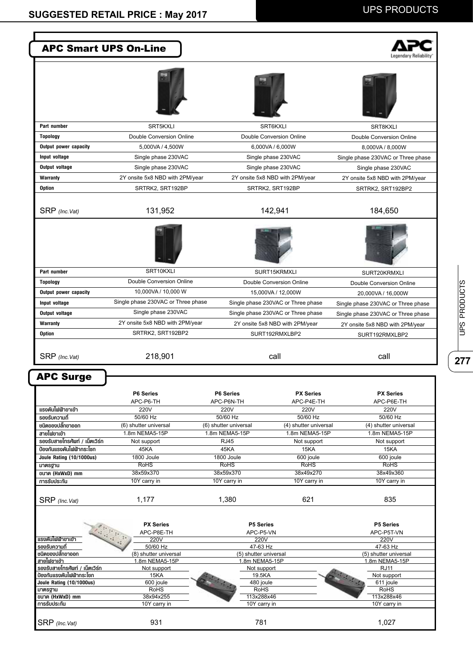| <b>APC Smart UPS On-Line</b>                               |                                                      |                                   |                                                   |                                    |
|------------------------------------------------------------|------------------------------------------------------|-----------------------------------|---------------------------------------------------|------------------------------------|
|                                                            |                                                      |                                   |                                                   |                                    |
|                                                            |                                                      |                                   |                                                   |                                    |
| Part number                                                | SRT5KXLI                                             |                                   | SRT6KXLI                                          | SRT8KXLI                           |
| <b>Topology</b>                                            | Double Conversion Online                             |                                   | Double Conversion Online                          | Double Conversion Online           |
| Output power capacity                                      | 5,000VA / 4,500W                                     |                                   | 6,000VA / 6,000W                                  | 8,000VA / 8,000W                   |
| Input voltage                                              | Single phase 230VAC                                  |                                   | Single phase 230VAC                               | Single phase 230VAC or Three phase |
| Output voltage                                             | Single phase 230VAC                                  |                                   | Single phase 230VAC                               |                                    |
|                                                            |                                                      |                                   |                                                   | Single phase 230VAC                |
| <b>Warranty</b>                                            | 2Y onsite 5x8 NBD with 2PM/year                      |                                   | 2Y onsite 5x8 NBD with 2PM/year                   | 2Y onsite 5x8 NBD with 2PM/year    |
| Option                                                     | SRTRK2, SRT192BP                                     |                                   | SRTRK2, SRT192BP                                  | SRTRK2, SRT192BP2                  |
| SRP (Inc.Vat)                                              | 131,952                                              |                                   | 142,941                                           | 184,650                            |
|                                                            |                                                      |                                   |                                                   |                                    |
| Part number                                                | SRT10KXLI                                            |                                   | SURT15KRMXLI                                      | SURT20KRMXLI                       |
| <b>Topology</b>                                            | Double Conversion Online                             |                                   | Double Conversion Online                          | Double Conversion Online           |
| Output power capacity                                      | 10,000VA / 10,000 W                                  |                                   | 15,000VA / 12,000W                                | 20,000VA / 16,000W                 |
| Input voltage                                              | Single phase 230VAC or Three phase                   |                                   | Single phase 230VAC or Three phase                |                                    |
| Output voltage                                             | Single phase 230VAC                                  |                                   |                                                   | Single phase 230VAC or Three phase |
|                                                            |                                                      |                                   | Single phase 230VAC or Three phase                | Single phase 230VAC or Three phase |
| Warranty<br><b>Option</b>                                  | 2Y onsite 5x8 NBD with 2PM/year<br>SRTRK2, SRT192BP2 |                                   | 2Y onsite 5x8 NBD with 2PM/year<br>SURT192RMXLBP2 | 2Y onsite 5x8 NBD with 2PM/year    |
| SRP (Inc.Vat)                                              | 218,901                                              |                                   | call                                              | call                               |
| <b>APC Surge</b>                                           | P6 Series                                            | P6 Series                         | <b>PX Series</b>                                  | <b>PX Series</b>                   |
|                                                            | APC-P6-TH                                            | APC-P6N-TH                        | APC-P4E-TH                                        | APC-P6E-TH                         |
| แรงคันไฟฟ้าขาเข้า                                          | 220V                                                 | 220V                              | 220V                                              | 220V                               |
| รองรับความถี่<br>ชนิดของปลั๊กขาออก                         | 50/60 Hz<br>(6) shutter universal                    | 50/60 Hz<br>(6) shutter universal | 50/60 Hz<br>(4) shutter universal                 | 50/60 Hz<br>(4) shutter universal  |
| สายไฟขาเข้า                                                | 1.8m NEMA5-15P                                       | 1.8m NEMA5-15P                    | 1.8m NEMA5-15P                                    | 1.8m NEMA5-15P                     |
| รองรับสายโทรศัพท์ / เน็ตเวิร์ก                             | Not support                                          | <b>RJ45</b>                       | Not support                                       | Not support                        |
| ป้องกันแรงคันไฟฟ้ากระโชก                                   | 45KA                                                 | 45KA                              | 15KA                                              | 15KA                               |
| Joule Rating (10/1000us)                                   | 1800 Joule                                           | 1800 Joule                        | 600 joule                                         | 600 joule                          |
| มาตรฐาน                                                    | <b>RoHS</b>                                          | <b>RoHS</b>                       | <b>RoHS</b>                                       | <b>RoHS</b>                        |
| ขนาด (HxWxD) mm<br>การรับประกัน                            | 38x59x370<br>10Y carry in                            | 38x59x370<br>10Y carry in         | 38x49x270<br>10Y carry in                         | 38x49x360<br>10Y carry in          |
|                                                            |                                                      |                                   |                                                   |                                    |
| SRP (Inc.Vat)                                              | 1,177                                                | 1,380                             | 621                                               | 835                                |
|                                                            | <b>PX Series</b>                                     | P5 Series                         |                                                   | P5 Series                          |
| แรงดันไฟฟ้าขาเข้า                                          | APC-P8E-TH<br>220V                                   | APC-P5-VN<br>220V                 |                                                   | APC-P5T-VN<br>220V                 |
| รองรับความถี่                                              | 50/60 Hz                                             | 47-63 Hz                          |                                                   | 47-63 Hz                           |
| ชนิดของปลั๊กขาออก                                          | (8) shutter universal                                | (5) shutter universal             |                                                   | (5) shutter universal              |
| สายไฟขาเข้า                                                | 1.8m NEMA5-15P                                       | 1.8m NEMA5-15P                    |                                                   | 1.8m NEMA5-15P                     |
| รองรับสายโทรศัพท์ / เน็ตเวิร์ก<br>ป้องกันแรงคันไฟฟ้ากระโชก | Not support<br>15KA                                  | Not support<br>19.5KA             |                                                   | RJ11<br>Not support                |
| Joule Rating (10/1000us)                                   | 600 joule                                            | 480 joule                         |                                                   | 611 joule                          |
| มาตรฐาน                                                    | <b>RoHS</b>                                          | RoHS                              |                                                   | <b>RoHS</b>                        |
| ขนาด (HxWxD) mm<br>การรับประกัน                            | 38x94x255<br>10Y carry in                            | 113x288x46<br>10Y carry in        |                                                   | 113x288x46<br>10Y carry in         |
|                                                            |                                                      |                                   |                                                   |                                    |
| SRP (Inc.Vat)                                              | 931                                                  | 781                               |                                                   | 1,027                              |

 $\overline{\overline{\text{277}}}$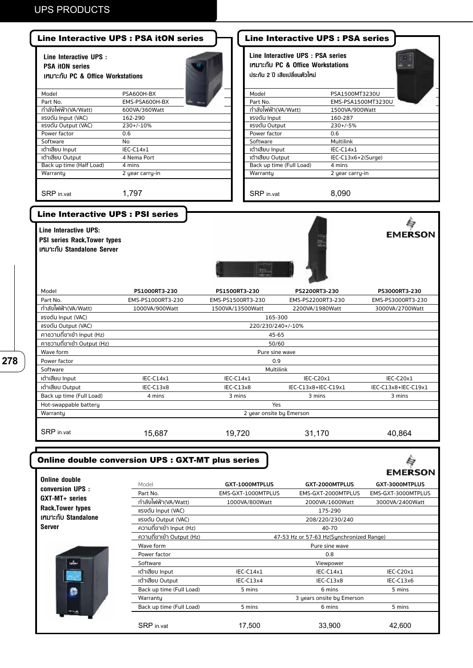| Line Interactive UPS :<br><b>PSA itON series</b><br>เทมาะกับ PC & Office Workstations                                                  |                                                   |                                     | Line Interactive UPS : PSA series<br>เทมาะกับ PC & Office Workstations<br>ประกัน 2 ปี เสียเปลี่ยนตัวใหม่ |                     |
|----------------------------------------------------------------------------------------------------------------------------------------|---------------------------------------------------|-------------------------------------|----------------------------------------------------------------------------------------------------------|---------------------|
| Model                                                                                                                                  | PSA600H-BX                                        | Model                               | PSA1500MT3230U                                                                                           |                     |
| Part No.                                                                                                                               | EMS-PSA600H-BX                                    | Part No.                            | EMS-PSA1500MT3230U                                                                                       |                     |
| ้กำลังไฟฟ้า(VA/Watt)                                                                                                                   | 600VA/360Watt                                     | กำลังไฟฟ้า(VA/Watt)                 | 1500VA/900Watt                                                                                           |                     |
| แรงดัน Input (VAC)                                                                                                                     | 162-290                                           | แรงดัน Input                        | 160-287                                                                                                  |                     |
| <b>IISVOU Output (VAC)</b>                                                                                                             | 230+/-10%                                         | แรงดัน Output                       | $230+/-5%$                                                                                               |                     |
| Power factor                                                                                                                           | 0.6                                               | Power factor                        | 0.6                                                                                                      |                     |
| Software                                                                                                                               | No                                                | Software                            | <b>Multilink</b>                                                                                         |                     |
| เต้าเสียบ Input<br>เต้าเสียบ Output                                                                                                    | $IEC-C14x1$<br>4 Nema Port                        | เต้าเสียบ Input<br>เต้าเสียบ Output | $IEC-C14x1$<br>IEC-C13x6+2(Surge)                                                                        |                     |
| Back up time (Half Load)                                                                                                               | 4 mins                                            | Back up time (Full Load)            | 4 mins                                                                                                   |                     |
| Warranty                                                                                                                               | 2 year carry-in                                   | Warranty                            | 2 year carry-in                                                                                          |                     |
|                                                                                                                                        |                                                   |                                     |                                                                                                          |                     |
| SRP in.vat                                                                                                                             | 1,797                                             | SRP in.vat                          | 8,090                                                                                                    |                     |
| <b>Line Interactive UPS : PSI series</b><br>Line Interactive UPS:<br><b>PSI series Rack, Tower types</b><br>เหมาะกับ Standalone Server |                                                   |                                     |                                                                                                          | <b>EMERSON</b>      |
|                                                                                                                                        |                                                   |                                     |                                                                                                          |                     |
| Model                                                                                                                                  | PS1000RT3-230                                     | PS1500RT3-230                       | PS2200RT3-230                                                                                            | PS3000RT3-230       |
| Part No.                                                                                                                               | EMS-PS1000RT3-230                                 | EMS-PS1500RT3-230                   | EMS-PS2200RT3-230                                                                                        | EMS-PS3000RT3-230   |
| ้กำลังไฟฟ้า(VA/Watt)                                                                                                                   | 1000VA/900Watt                                    | 1500VA/13500Watt                    | 2200VA/1980Watt                                                                                          | 3000VA/2700Watt     |
| แรงดัน Input (VAC)                                                                                                                     |                                                   | 165-300                             |                                                                                                          |                     |
| <b>IISVOU Output (VAC)</b>                                                                                                             |                                                   | 220/230/240+/-10%                   |                                                                                                          |                     |
| คาชวามถี่ขาเข้า Input (Hz)<br>คาชวามถี่ขาเข้า Output (Hz)                                                                              |                                                   | 45-65                               |                                                                                                          |                     |
| Wave form                                                                                                                              |                                                   | 50/60                               |                                                                                                          |                     |
| Power factor                                                                                                                           |                                                   | Pure sine wave<br>0.9               |                                                                                                          |                     |
| Software                                                                                                                               |                                                   | <b>Multilink</b>                    |                                                                                                          |                     |
| เด้าเสียบ Input                                                                                                                        | IEC-C14x1                                         | IEC-C14x1                           | IEC-C20x1                                                                                                | IEC-C20x1           |
| เต้าเสียบ Output                                                                                                                       | IEC-C13x8                                         | IEC-C13x8                           | IEC-C13x8+IEC-C19x1                                                                                      | IEC-C13x8+IEC-C19x1 |
| Back up time (Full Load)                                                                                                               | 4 mins                                            | 3 mins                              | 3 mins                                                                                                   | 3 mins              |
| Hot-swappable battery                                                                                                                  |                                                   | Yes                                 |                                                                                                          |                     |
| Warranty                                                                                                                               |                                                   | 2 year onsite by Emerson            |                                                                                                          |                     |
| SRP in.vat                                                                                                                             | 15,687                                            | 19,720                              | 31,170                                                                                                   | 40,864              |
|                                                                                                                                        | Online double conversion UPS : GXT-MT plus series |                                     |                                                                                                          | <b>EMERSON</b>      |
| <b>Online double</b>                                                                                                                   | Model                                             | GXT-1000MTPLUS                      | GXT-2000MTPLUS                                                                                           | GXT-3000MTPLUS      |
| conversion UPS :                                                                                                                       | Part No.                                          | EMS-GXT-1000MTPLUS                  | EMS-GXT-2000MTPLUS                                                                                       | EMS-GXT-3000MTPLUS  |
| GXT-MT+ series                                                                                                                         | กำลังไฟฟ้า(VA/Watt)                               | 1000VA/800Watt                      | 2000VA/1600Watt                                                                                          | 3000VA/2400Watt     |
| <b>Rack, Tower types</b>                                                                                                               | แรงดัน Input (VAC)                                |                                     | 175-290                                                                                                  |                     |
| เหมาะกับ Standalone                                                                                                                    | <b>IISVOU Output (VAC)</b>                        |                                     | 208/220/230/240                                                                                          |                     |
| <b>Server</b>                                                                                                                          | ความถี่ขาเข้า Input (Hz)                          |                                     | 40-70                                                                                                    |                     |
|                                                                                                                                        | ความถี่ขาเข้า Output (Hz)                         |                                     | 47-53 Hz or 57-63 Hz(Synchronized Range)                                                                 |                     |
|                                                                                                                                        | Wave form                                         |                                     | Pure sine wave                                                                                           |                     |
|                                                                                                                                        | Power factor                                      |                                     | 0.8                                                                                                      |                     |
|                                                                                                                                        | Software                                          |                                     | Viewpower                                                                                                |                     |
|                                                                                                                                        | เต้าเสียบ Input                                   | IEC-C14x1                           | IEC-C14x1                                                                                                | IEC-C20x1           |
|                                                                                                                                        |                                                   |                                     |                                                                                                          |                     |
|                                                                                                                                        | เต้าเสียบ Output                                  | IEC-C13x4                           | IEC-C13x8                                                                                                | IEC-C13x6           |
|                                                                                                                                        | Back up time (Full Load)                          | 5 mins                              | 6 mins                                                                                                   | 5 mins              |
|                                                                                                                                        | Warranty<br>Back up time (Full Load)              | 5 mins                              | 3 years onsite by Emerson                                                                                | 5 mins              |

SRP in.vat 17,500 33,900 42,600